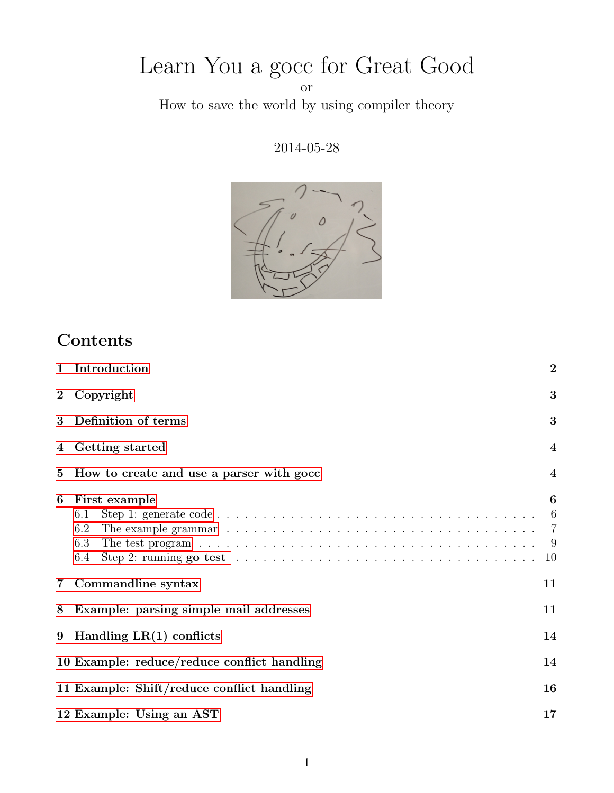# Learn You a gocc for Great Good

or

How to save the world by using compiler theory

2014-05-28



# Contents

|                  | 1 Introduction                                                                                                                                      | $\overline{2}$                      |  |  |  |  |
|------------------|-----------------------------------------------------------------------------------------------------------------------------------------------------|-------------------------------------|--|--|--|--|
| $\boldsymbol{2}$ | Copyright                                                                                                                                           | 3                                   |  |  |  |  |
| 3                | Definition of terms                                                                                                                                 | 3                                   |  |  |  |  |
| 4                | Getting started                                                                                                                                     | $\boldsymbol{4}$                    |  |  |  |  |
| $\bf{5}$         | How to create and use a parser with gocc                                                                                                            | $\overline{\mathbf{4}}$             |  |  |  |  |
| 6                | First example<br>6.1<br>6.2<br>6.3<br>Step 2: running go test $\ldots \ldots \ldots \ldots \ldots \ldots \ldots \ldots \ldots \ldots \ldots$<br>6.4 | 6<br>6<br>$\overline{7}$<br>9<br>10 |  |  |  |  |
| $\mathbf 7$      | Commandline syntax                                                                                                                                  | 11                                  |  |  |  |  |
| 8                | Example: parsing simple mail addresses                                                                                                              | 11                                  |  |  |  |  |
| 9                | Handling $LR(1)$ conflicts<br>14                                                                                                                    |                                     |  |  |  |  |
|                  | 10 Example: reduce/reduce conflict handling                                                                                                         | 14                                  |  |  |  |  |
|                  | 11 Example: Shift/reduce conflict handling                                                                                                          | 16                                  |  |  |  |  |
|                  | 12 Example: Using an AST                                                                                                                            | 17                                  |  |  |  |  |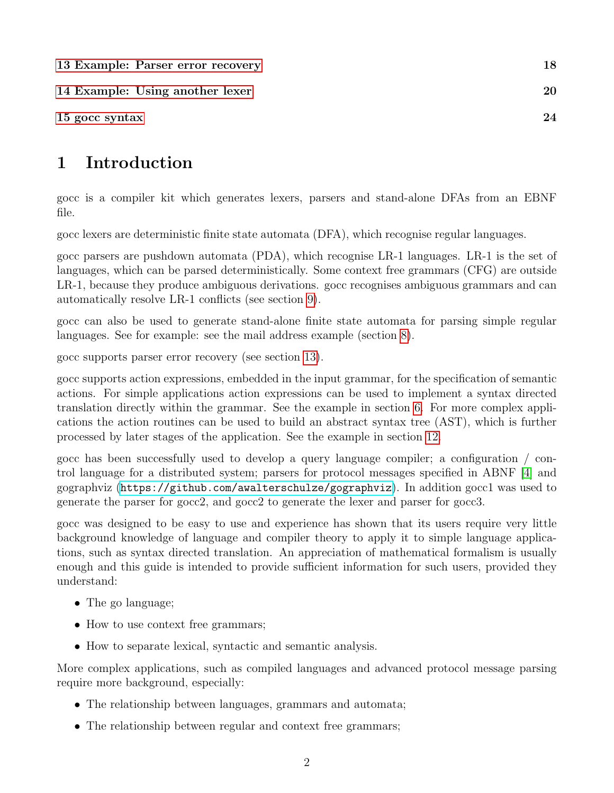| 13 Example: Parser error recovery | 18 |
|-----------------------------------|----|
| 14 Example: Using another lexer   | 20 |
| 15 gocc syntax                    | 24 |

# <span id="page-1-0"></span>1 Introduction

gocc is a compiler kit which generates lexers, parsers and stand-alone DFAs from an EBNF file.

gocc lexers are deterministic finite state automata (DFA), which recognise regular languages.

gocc parsers are pushdown automata (PDA), which recognise LR-1 languages. LR-1 is the set of languages, which can be parsed deterministically. Some context free grammars (CFG) are outside LR-1, because they produce ambiguous derivations. gocc recognises ambiguous grammars and can automatically resolve LR-1 conflicts (see section [9\)](#page-13-0).

gocc can also be used to generate stand-alone finite state automata for parsing simple regular languages. See for example: see the mail address example (section [8\)](#page-10-1).

gocc supports parser error recovery (see section [13\)](#page-17-0).

gocc supports action expressions, embedded in the input grammar, for the specification of semantic actions. For simple applications action expressions can be used to implement a syntax directed translation directly within the grammar. See the example in section [6.](#page-5-0) For more complex applications the action routines can be used to build an abstract syntax tree (AST), which is further processed by later stages of the application. See the example in section [12.](#page-16-0)

gocc has been successfully used to develop a query language compiler; a configuration / control language for a distributed system; parsers for protocol messages specified in ABNF [\[4\]](#page-28-0) and gographviz (<https://github.com/awalterschulze/gographviz>). In addition gocc1 was used to generate the parser for gocc2, and gocc2 to generate the lexer and parser for gocc3.

gocc was designed to be easy to use and experience has shown that its users require very little background knowledge of language and compiler theory to apply it to simple language applications, such as syntax directed translation. An appreciation of mathematical formalism is usually enough and this guide is intended to provide sufficient information for such users, provided they understand:

- The go language;
- How to use context free grammars;
- How to separate lexical, syntactic and semantic analysis.

More complex applications, such as compiled languages and advanced protocol message parsing require more background, especially:

- The relationship between languages, grammars and automata;
- The relationship between regular and context free grammars;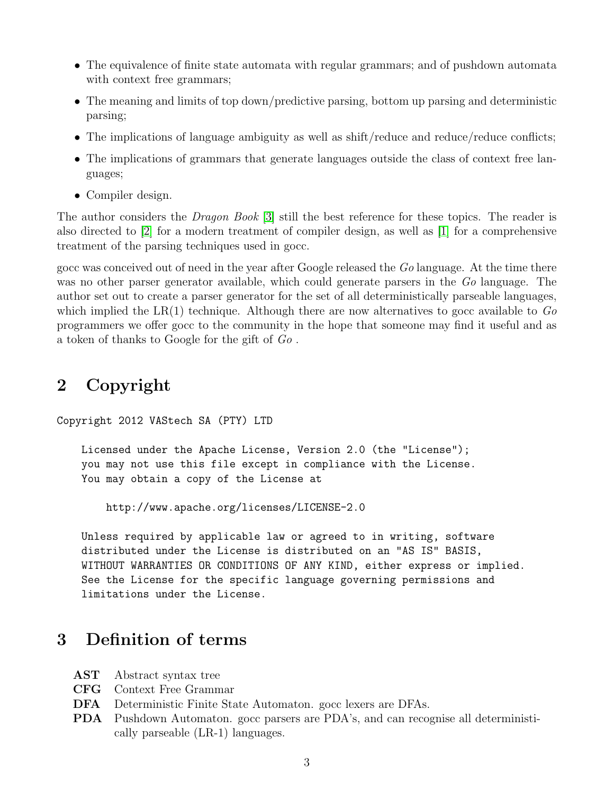- The equivalence of finite state automata with regular grammars; and of pushdown automata with context free grammars;
- The meaning and limits of top down/predictive parsing, bottom up parsing and deterministic parsing;
- The implications of language ambiguity as well as shift/reduce and reduce/reduce conflicts;
- The implications of grammars that generate languages outside the class of context free languages;
- Compiler design.

The author considers the Dragon Book [\[3\]](#page-28-1) still the best reference for these topics. The reader is also directed to [\[2\]](#page-28-2) for a modern treatment of compiler design, as well as [\[1\]](#page-28-3) for a comprehensive treatment of the parsing techniques used in gocc.

gocc was conceived out of need in the year after Google released the Go language. At the time there was no other parser generator available, which could generate parsers in the Go language. The author set out to create a parser generator for the set of all deterministically parseable languages, which implied the  $LR(1)$  technique. Although there are now alternatives to gocc available to  $Go$ programmers we offer gocc to the community in the hope that someone may find it useful and as a token of thanks to Google for the gift of Go .

# <span id="page-2-0"></span>2 Copyright

Copyright 2012 VAStech SA (PTY) LTD

Licensed under the Apache License, Version 2.0 (the "License"); you may not use this file except in compliance with the License. You may obtain a copy of the License at

http://www.apache.org/licenses/LICENSE-2.0

Unless required by applicable law or agreed to in writing, software distributed under the License is distributed on an "AS IS" BASIS, WITHOUT WARRANTIES OR CONDITIONS OF ANY KIND, either express or implied. See the License for the specific language governing permissions and limitations under the License.

## <span id="page-2-1"></span>3 Definition of terms

- AST Abstract syntax tree
- CFG Context Free Grammar
- DFA Deterministic Finite State Automaton. gocc lexers are DFAs.
- PDA Pushdown Automaton. gocc parsers are PDA's, and can recognise all deterministically parseable (LR-1) languages.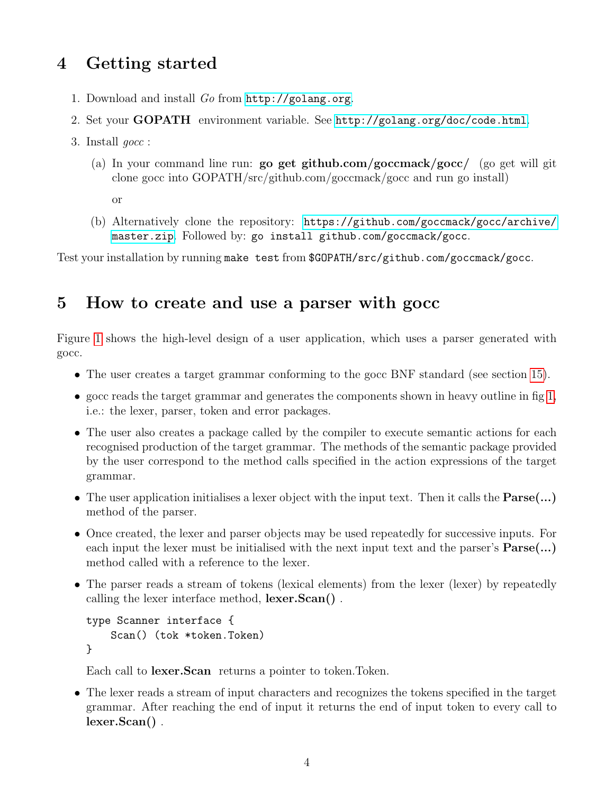# <span id="page-3-0"></span>4 Getting started

- 1. Download and install Go from <http://golang.org>.
- 2. Set your GOPATH environment variable. See <http://golang.org/doc/code.html>.
- 3. Install gocc :
	- (a) In your command line run: go get github.com/goccmack/gocc/ (go get will git clone gocc into GOPATH/src/github.com/goccmack/gocc and run go install)

or

(b) Alternatively clone the repository: [https://github.com/goccmack/gocc/archive/](https://github.com/goccmack/gocc/archive/master.zip) [master.zip](https://github.com/goccmack/gocc/archive/master.zip). Followed by: go install github.com/goccmack/gocc.

Test your installation by running make test from \$GOPATH/src/github.com/goccmack/gocc.

## <span id="page-3-1"></span>5 How to create and use a parser with gocc

Figure [1](#page-4-0) shows the high-level design of a user application, which uses a parser generated with gocc.

- The user creates a target grammar conforming to the gocc BNF standard (see section [15\)](#page-23-0).
- gocc reads the target grammar and generates the components shown in heavy outline in fig [1,](#page-4-0) i.e.: the lexer, parser, token and error packages.
- The user also creates a package called by the compiler to execute semantic actions for each recognised production of the target grammar. The methods of the semantic package provided by the user correspond to the method calls specified in the action expressions of the target grammar.
- The user application initialises a lexer object with the input text. Then it calls the Parse(...) method of the parser.
- Once created, the lexer and parser objects may be used repeatedly for successive inputs. For each input the lexer must be initialised with the next input text and the parser's  $\text{Parse}(\ldots)$ method called with a reference to the lexer.
- The parser reads a stream of tokens (lexical elements) from the lexer (lexer) by repeatedly calling the lexer interface method, lexer.Scan() .

```
type Scanner interface {
    Scan() (tok *token.Token)
}
```
Each call to lexer.Scan returns a pointer to token.Token.

• The lexer reads a stream of input characters and recognizes the tokens specified in the target grammar. After reaching the end of input it returns the end of input token to every call to lexer.Scan() .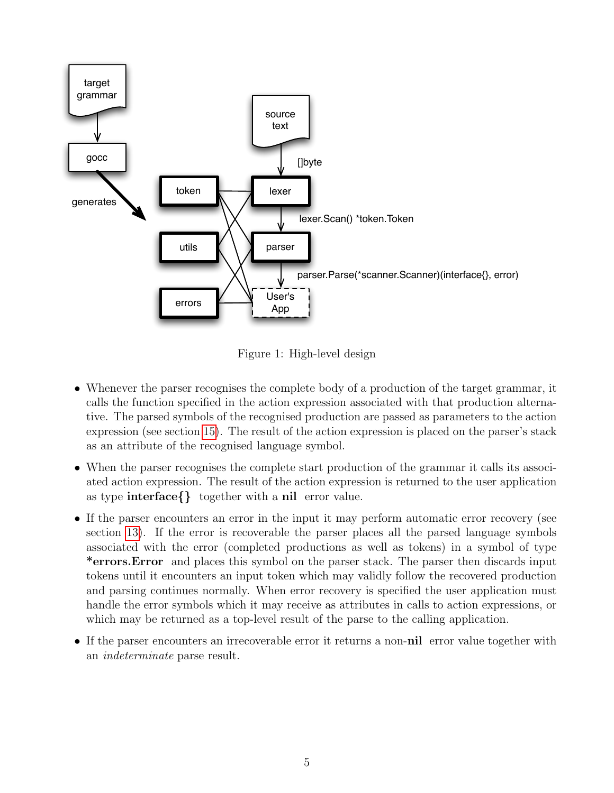

<span id="page-4-0"></span>Figure 1: High-level design

- Whenever the parser recognises the complete body of a production of the target grammar, it calls the function specified in the action expression associated with that production alternative. The parsed symbols of the recognised production are passed as parameters to the action expression (see section [15\)](#page-23-0). The result of the action expression is placed on the parser's stack as an attribute of the recognised language symbol.
- When the parser recognises the complete start production of the grammar it calls its associated action expression. The result of the action expression is returned to the user application as type interface{} together with a nil error value.
- If the parser encounters an error in the input it may perform automatic error recovery (see section [13\)](#page-17-0). If the error is recoverable the parser places all the parsed language symbols associated with the error (completed productions as well as tokens) in a symbol of type \*errors.Error and places this symbol on the parser stack. The parser then discards input tokens until it encounters an input token which may validly follow the recovered production and parsing continues normally. When error recovery is specified the user application must handle the error symbols which it may receive as attributes in calls to action expressions, or which may be returned as a top-level result of the parse to the calling application.
- If the parser encounters an irrecoverable error it returns a non-nil error value together with an indeterminate parse result.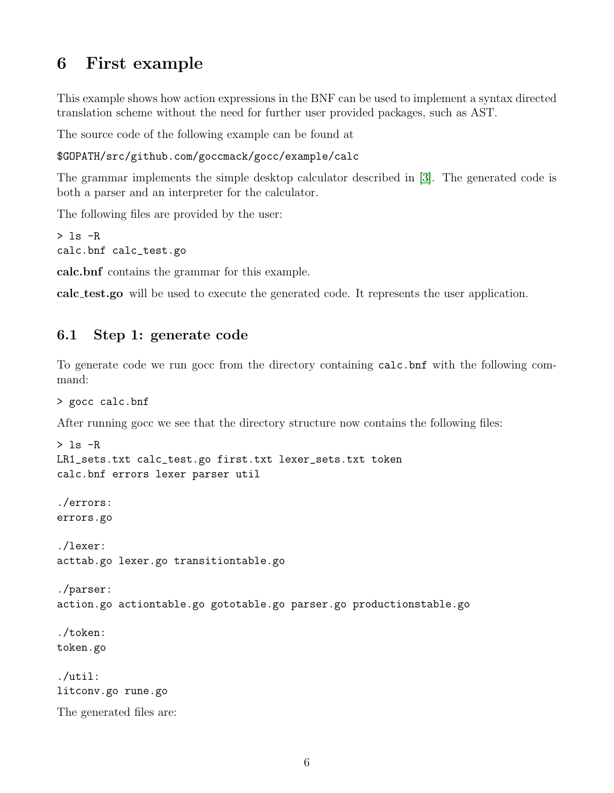# <span id="page-5-0"></span>6 First example

This example shows how action expressions in the BNF can be used to implement a syntax directed translation scheme without the need for further user provided packages, such as AST.

The source code of the following example can be found at

#### \$GOPATH/src/github.com/goccmack/gocc/example/calc

The grammar implements the simple desktop calculator described in [\[3\]](#page-28-1). The generated code is both a parser and an interpreter for the calculator.

The following files are provided by the user:

```
> 1s -Rcalc.bnf calc_test.go
```
calc.bnf contains the grammar for this example.

calc test.go will be used to execute the generated code. It represents the user application.

#### <span id="page-5-1"></span>6.1 Step 1: generate code

To generate code we run gocc from the directory containing calc.bnf with the following command:

```
> gocc calc.bnf
```
After running gocc we see that the directory structure now contains the following files:

```
> 1s -R
LR1_sets.txt calc_test.go first.txt lexer_sets.txt token
calc.bnf errors lexer parser util
./errors:
errors.go
./lexer:
acttab.go lexer.go transitiontable.go
./parser:
action.go actiontable.go gototable.go parser.go productionstable.go
./token:
token.go
./util:
litconv.go rune.go
The generated files are:
```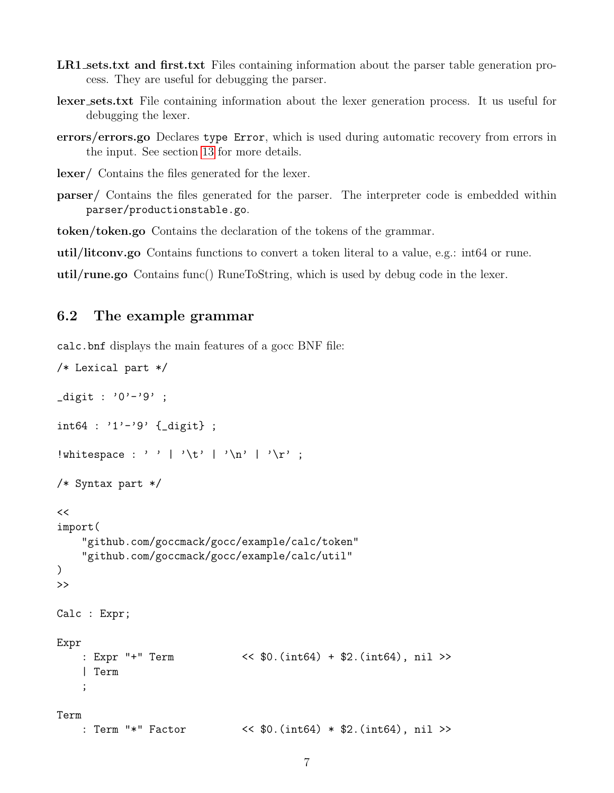- LR1 sets.txt and first.txt Files containing information about the parser table generation process. They are useful for debugging the parser.
- lexer sets.txt File containing information about the lexer generation process. It us useful for debugging the lexer.
- errors/errors.go Declares type Error, which is used during automatic recovery from errors in the input. See section [13](#page-17-0) for more details.

lexer/ Contains the files generated for the lexer.

parser/ Contains the files generated for the parser. The interpreter code is embedded within parser/productionstable.go.

token/token.go Contains the declaration of the tokens of the grammar.

util/litconv.go Contains functions to convert a token literal to a value, e.g.: int64 or rune.

util/rune.go Contains func() RuneToString, which is used by debug code in the lexer.

#### <span id="page-6-0"></span>6.2 The example grammar

calc.bnf displays the main features of a gocc BNF file:

```
/* Lexical part */
_digit : '0'-'9' ;
int64 : '1'-'9' {_digit} ;
!whitespace : ' ' | '\t' | '\n' | '\r' ;
/* Syntax part */
<<import(
    "github.com/goccmack/gocc/example/calc/token"
    "github.com/goccmack/gocc/example/calc/util"
)
>>
Calc : Expr;
Expr
    : Expr "+" Term << $0.(int64) + $2.(int64), nil >>
    | Term
    ;
Term
   : Term "*" Factor << $0.(int64) * $2.(int64), nil >>
```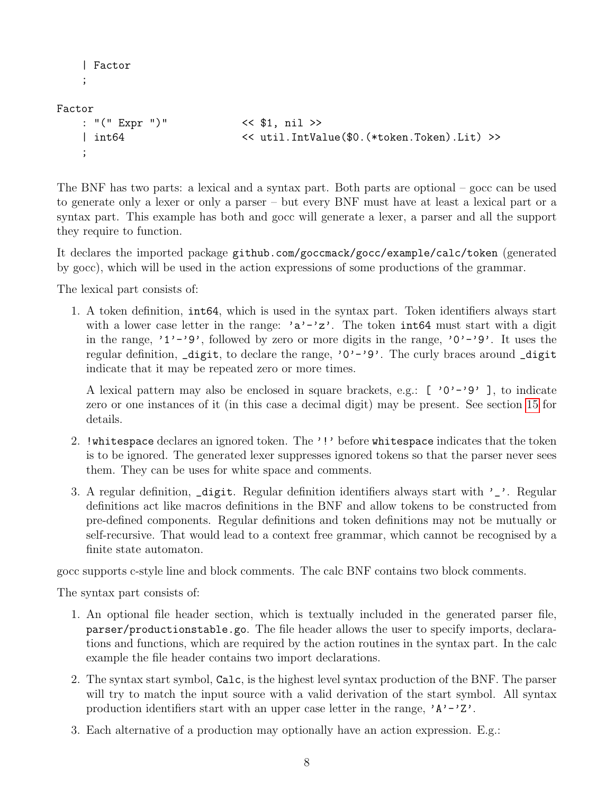```
| Factor
;
```
Factor

```
: "(" Expr ")" << $1, nil >>
| int64 << util.IntValue($0.(*token.Token).Lit) >>
;
```
The BNF has two parts: a lexical and a syntax part. Both parts are optional – gocc can be used to generate only a lexer or only a parser – but every BNF must have at least a lexical part or a syntax part. This example has both and gocc will generate a lexer, a parser and all the support they require to function.

It declares the imported package github.com/goccmack/gocc/example/calc/token (generated by gocc), which will be used in the action expressions of some productions of the grammar.

The lexical part consists of:

1. A token definition, int64, which is used in the syntax part. Token identifiers always start with a lower case letter in the range: ' $a'$ -'z'. The token int64 must start with a digit in the range, '1'-'9', followed by zero or more digits in the range, '0'-'9'. It uses the regular definition,  $\text{digit},$  to declare the range, '0'-'9'. The curly braces around  $\text{digit}$ indicate that it may be repeated zero or more times.

A lexical pattern may also be enclosed in square brackets, e.g.:  $[\cdot 0 \cdot - \cdot 9 \cdot]$ , to indicate zero or one instances of it (in this case a decimal digit) may be present. See section [15](#page-23-0) for details.

- 2. !whitespace declares an ignored token. The '!' before whitespace indicates that the token is to be ignored. The generated lexer suppresses ignored tokens so that the parser never sees them. They can be uses for white space and comments.
- 3. A regular definition,  $\Delta$  digit. Regular definition identifiers always start with ' $\Delta$ '. Regular definitions act like macros definitions in the BNF and allow tokens to be constructed from pre-defined components. Regular definitions and token definitions may not be mutually or self-recursive. That would lead to a context free grammar, which cannot be recognised by a finite state automaton.

gocc supports c-style line and block comments. The calc BNF contains two block comments.

The syntax part consists of:

- 1. An optional file header section, which is textually included in the generated parser file, parser/productionstable.go. The file header allows the user to specify imports, declarations and functions, which are required by the action routines in the syntax part. In the calc example the file header contains two import declarations.
- 2. The syntax start symbol, Calc, is the highest level syntax production of the BNF. The parser will try to match the input source with a valid derivation of the start symbol. All syntax production identifiers start with an upper case letter in the range,  $'A'-'Z'.$
- 3. Each alternative of a production may optionally have an action expression. E.g.: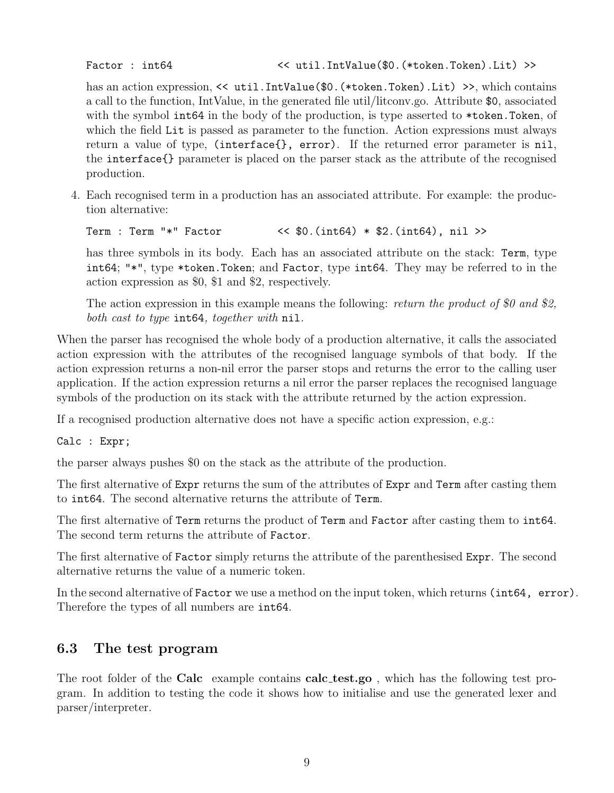Factor : int64  $\left\langle \text{util}. \text{IntValue}(\text{$0.}(*\text{token}. \text{Token}). \text{Lit}) \right\rangle$ 

has an action expression, << util.IntValue(\$0.(\*token.Token).Lit) >>, which contains a call to the function, IntValue, in the generated file util/litconv.go. Attribute \$0, associated with the symbol int64 in the body of the production, is type asserted to \*token. Token, of which the field Lit is passed as parameter to the function. Action expressions must always return a value of type, (interface{}, error). If the returned error parameter is nil, the interface{} parameter is placed on the parser stack as the attribute of the recognised production.

4. Each recognised term in a production has an associated attribute. For example: the production alternative:

Term : Term "\*" Factor << \$0.(int64) \* \$2.(int64), nil >>

has three symbols in its body. Each has an associated attribute on the stack: Term, type int64; "\*", type \*token.Token; and Factor, type int64. They may be referred to in the action expression as \$0, \$1 and \$2, respectively.

The action expression in this example means the following: return the product of \$0 and \$2. both cast to type int64, together with nil.

When the parser has recognised the whole body of a production alternative, it calls the associated action expression with the attributes of the recognised language symbols of that body. If the action expression returns a non-nil error the parser stops and returns the error to the calling user application. If the action expression returns a nil error the parser replaces the recognised language symbols of the production on its stack with the attribute returned by the action expression.

If a recognised production alternative does not have a specific action expression, e.g.:

Calc : Expr;

the parser always pushes \$0 on the stack as the attribute of the production.

The first alternative of Expr returns the sum of the attributes of Expr and Term after casting them to int64. The second alternative returns the attribute of Term.

The first alternative of Term returns the product of Term and Factor after casting them to  $int64$ . The second term returns the attribute of Factor.

The first alternative of Factor simply returns the attribute of the parenthesised Expr. The second alternative returns the value of a numeric token.

In the second alternative of Factor we use a method on the input token, which returns (int64, error). Therefore the types of all numbers are int64.

#### <span id="page-8-0"></span>6.3 The test program

The root folder of the **Calc** example contains **calc\_test.go**, which has the following test program. In addition to testing the code it shows how to initialise and use the generated lexer and parser/interpreter.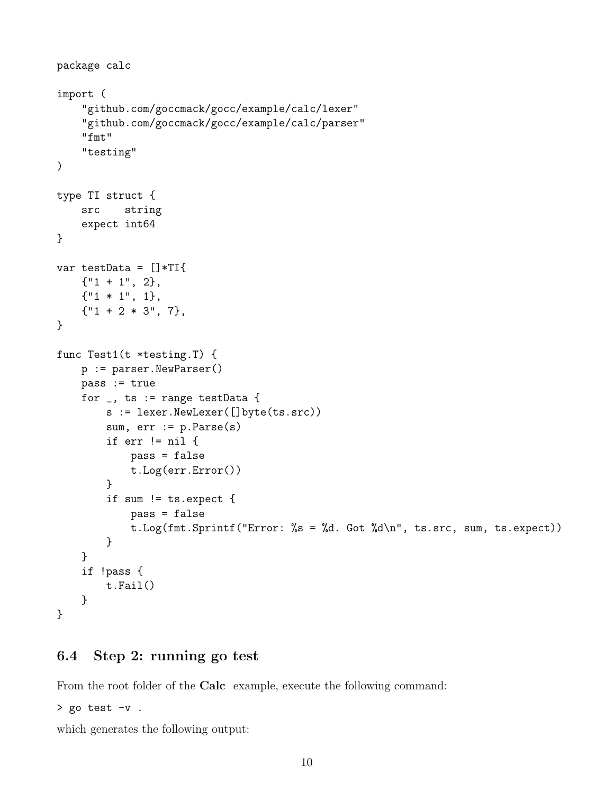```
package calc
import (
    "github.com/goccmack/gocc/example/calc/lexer"
    "github.com/goccmack/gocc/example/calc/parser"
    "fmt"
    "testing"
)
type TI struct {
    src string
    expect int64
}
var testData = []*TI{
    {\{ "1 + 1", 2 \}},{"1 * 1", 1},
    {\{ "1 + 2 * 3", 7 }},}
func Test1(t *testing.T) {
    p := parser.NewParser()
    pass := true
    for _, ts := range testData {
        s := lexer.NewLexer([]byte(ts.src))
        sum, err := p.Parse(s)if err != nil {
            pass = false
            t.Log(err.Error())
        }
        if sum != ts.expect {
            pass = false
            t.Log(fmt.Sprintf("Error: %s = %d. Got %d\n", ts.src, sum, ts.expect))
        }
    }
    if !pass {
        t.Fail()
    }
}
```
#### <span id="page-9-0"></span>6.4 Step 2: running go test

From the root folder of the Calc example, execute the following command:

> go test -v .

which generates the following output: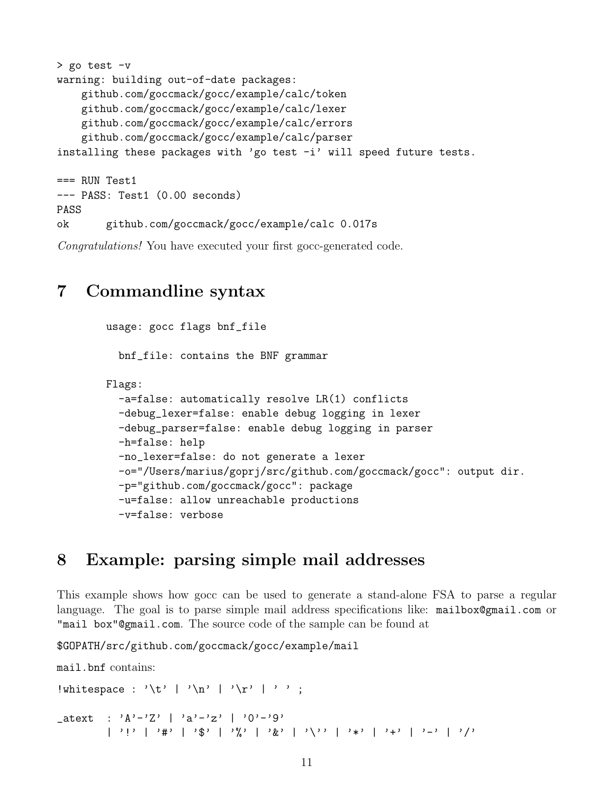```
> go test -v
warning: building out-of-date packages:
    github.com/goccmack/gocc/example/calc/token
    github.com/goccmack/gocc/example/calc/lexer
    github.com/goccmack/gocc/example/calc/errors
    github.com/goccmack/gocc/example/calc/parser
installing these packages with 'go test -i' will speed future tests.
=== RUN Test1
--- PASS: Test1 (0.00 seconds)
PASS
ok github.com/goccmack/gocc/example/calc 0.017s
```
Congratulations! You have executed your first gocc-generated code.

### <span id="page-10-0"></span>7 Commandline syntax

```
usage: gocc flags bnf_file
  bnf_file: contains the BNF grammar
Flags:
  -a=false: automatically resolve LR(1) conflicts
  -debug_lexer=false: enable debug logging in lexer
  -debug_parser=false: enable debug logging in parser
  -h=false: help
  -no_lexer=false: do not generate a lexer
  -o="/Users/marius/goprj/src/github.com/goccmack/gocc": output dir.
  -p="github.com/goccmack/gocc": package
  -u=false: allow unreachable productions
  -v=false: verbose
```
## <span id="page-10-1"></span>8 Example: parsing simple mail addresses

This example shows how gocc can be used to generate a stand-alone FSA to parse a regular language. The goal is to parse simple mail address specifications like: mailbox@gmail.com or "mail box"@gmail.com. The source code of the sample can be found at

\$GOPATH/src/github.com/goccmack/gocc/example/mail

```
mail.bnf contains:
!whitespace : '\t' | '\n' | '\r' | ' ';
atext : 'A'-'Z' | 'a'-'z' | '0'-'9'
                            | \cdot | : | : \mathbb{R}^3 \times \mathbb{R}^3 \times \mathbb{R}^3 \times \mathbb{R}^3 \times \mathbb{R}^3 \times \mathbb{R}^3 \times \mathbb{R}^3 \times \mathbb{R}^3 \times \mathbb{R}^3 \times \mathbb{R}^3 \times \mathbb{R}^3 \times \mathbb{R}^3 \times \mathbb{R}^3 \times \mathbb{R}^3 \times \mathbb{R}^3 \times \mathbb{R}^3 \times \mathbb{R}^3 \times \mathbb{R}^3 \times \mathbb{R}^3 \times \mathbb{R}^3 \times \mathbb{R}^3 \times \mathbb
```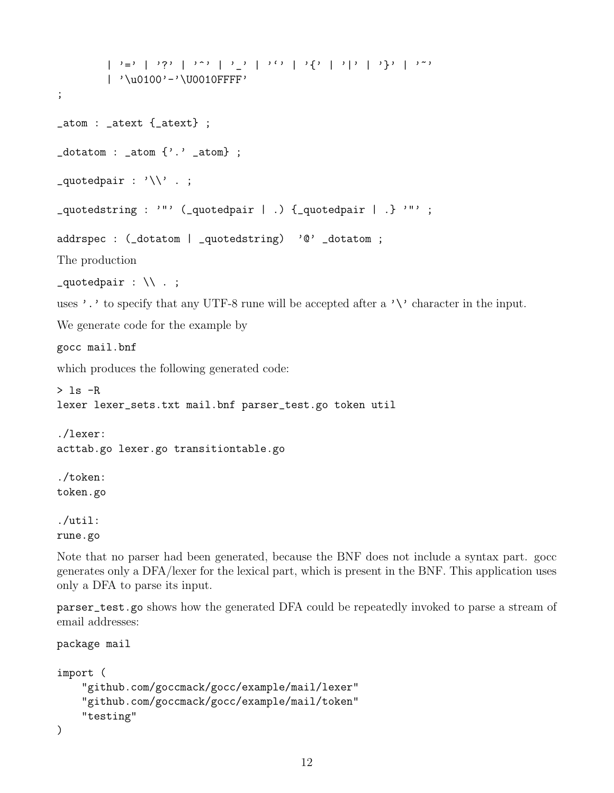```
| \ \ \rangle =' | \ \ \rangle' | \ \ \rangle' | '| \ \ \rangle' | '| \ \ \rangle' | '| \ \ \rangle' | '| \ \ \rangle' | '| \ \ \rangle' | '| \ \ \rangle' | '\ \ \rangle' | '\ \ \rangle' | '\ \ \rangle' | '\ \ \gamma| '\u0100'-'\U0010FFFF'
;
_atom : _atext {_atext} ;
\text{\_dot} \text{\_dot} : \text{\_atm} \{'.'.\text{ } \text{\_atm} ;
\text{-}quotedpair : '\\' . ;
_quotedstring : '"' ( quotedpair | .) \{ quotedpair | .} '"';
addrspec : (_dotatom | _quotedstring) '@' _dotatom ;
The production
zquotedpair : \setminus\setminus .;
uses '.' to specify that any UTF-8 rune will be accepted after a '\' character in the input.
We generate code for the example by
gocc mail.bnf
which produces the following generated code:
> 1s -Rlexer lexer_sets.txt mail.bnf parser_test.go token util
./lexer:
acttab.go lexer.go transitiontable.go
./token:
token.go
./util:
rune.go
```
Note that no parser had been generated, because the BNF does not include a syntax part. gocc generates only a DFA/lexer for the lexical part, which is present in the BNF. This application uses only a DFA to parse its input.

parser\_test.go shows how the generated DFA could be repeatedly invoked to parse a stream of email addresses:

```
package mail
import (
    "github.com/goccmack/gocc/example/mail/lexer"
    "github.com/goccmack/gocc/example/mail/token"
    "testing"
)
```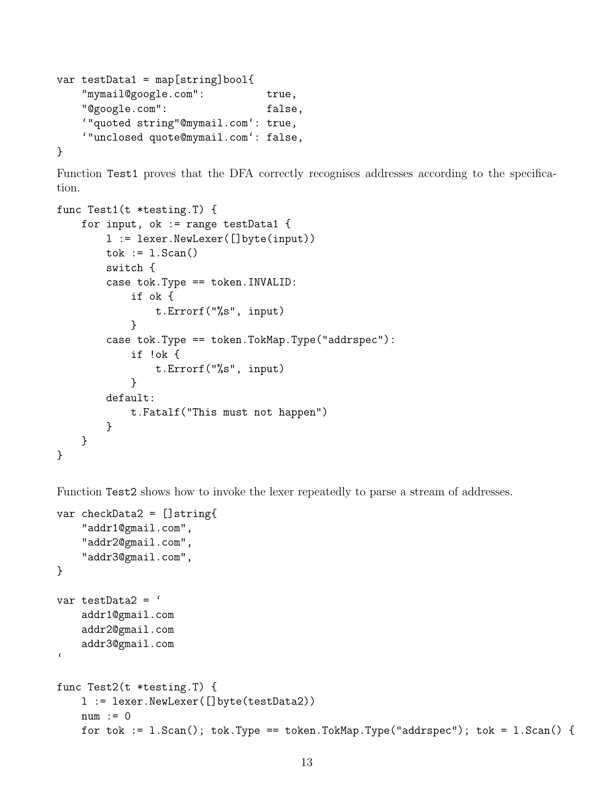```
var testData1 = map[string]bool{
   "mymail@google.com": true,
   "@google.com": false,
   '"quoted string"@mymail.com': true,
   '"unclosed quote@mymail.com': false,
}
```
Function Test1 proves that the DFA correctly recognises addresses according to the specification.

```
func Test1(t *testing.T) {
    for input, ok := range testData1 {
        l := lexer.NewLexer([]byte(input))
        tok := 1.Scan()switch {
        case tok.Type == token.INVALID:
            if ok {
                t.Errorf("%s", input)
            }
        case tok.Type == token.TokMap.Type("addrspec"):
            if !ok {
                t.Errorf("%s", input)
            }
        default:
            t.Fatalf("This must not happen")
        }
    }
}
```
Function Test2 shows how to invoke the lexer repeatedly to parse a stream of addresses.

```
var checkData2 = []string{
    "addr1@gmail.com",
    "addr2@gmail.com",
    "addr3@gmail.com",
}
var testData2 = '
    addr1@gmail.com
    addr2@gmail.com
    addr3@gmail.com
\epsilonfunc Test2(t *testing.T) {
    l := lexer.NewLexer([]byte(testData2))
    num := 0
    for tok := 1.Scan(); tok.Type == token.TokMap.Type("addrspec"); tok = 1.Scan() {
```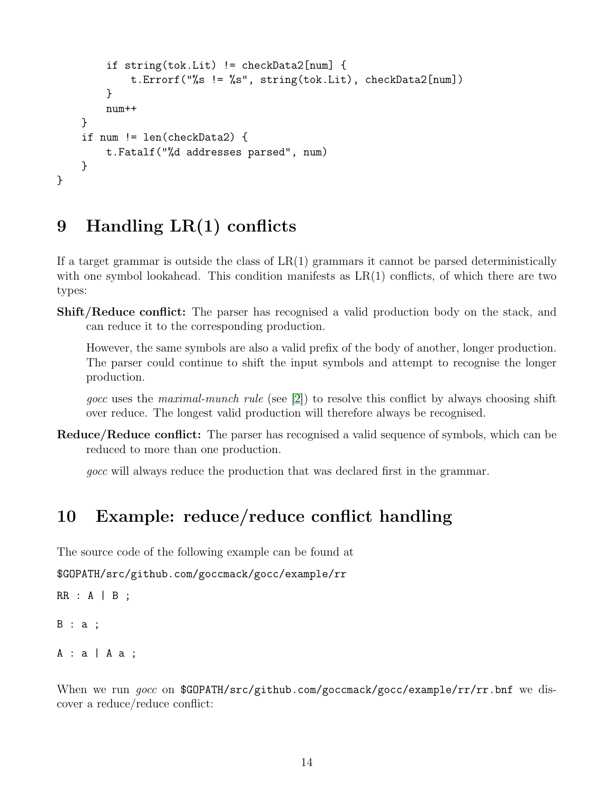```
if string(tok.Lit) != checkData2[num] {
            t.Errorf("%s != %s", string(tok.Lit), checkData2[num])
        }
        num++
    }
    if num != len(checkData2) {
        t.Fatalf("%d addresses parsed", num)
    }
}
```
# <span id="page-13-0"></span>9 Handling LR(1) conflicts

If a target grammar is outside the class of  $LR(1)$  grammars it cannot be parsed deterministically with one symbol lookahead. This condition manifests as  $LR(1)$  conflicts, of which there are two types:

**Shift/Reduce conflict:** The parser has recognised a valid production body on the stack, and can reduce it to the corresponding production.

However, the same symbols are also a valid prefix of the body of another, longer production. The parser could continue to shift the input symbols and attempt to recognise the longer production.

gocc uses the maximal-munch rule (see [\[2\]](#page-28-2)) to resolve this conflict by always choosing shift over reduce. The longest valid production will therefore always be recognised.

Reduce/Reduce conflict: The parser has recognised a valid sequence of symbols, which can be reduced to more than one production.

gocc will always reduce the production that was declared first in the grammar.

## <span id="page-13-1"></span>10 Example: reduce/reduce conflict handling

The source code of the following example can be found at

```
$GOPATH/src/github.com/goccmack/gocc/example/rr
```

```
RR : A | B;
```

```
B : a ;
```

```
A: a | A a;
```
When we run gocc on \$GOPATH/src/github.com/goccmack/gocc/example/rr/rr.bnf we discover a reduce/reduce conflict: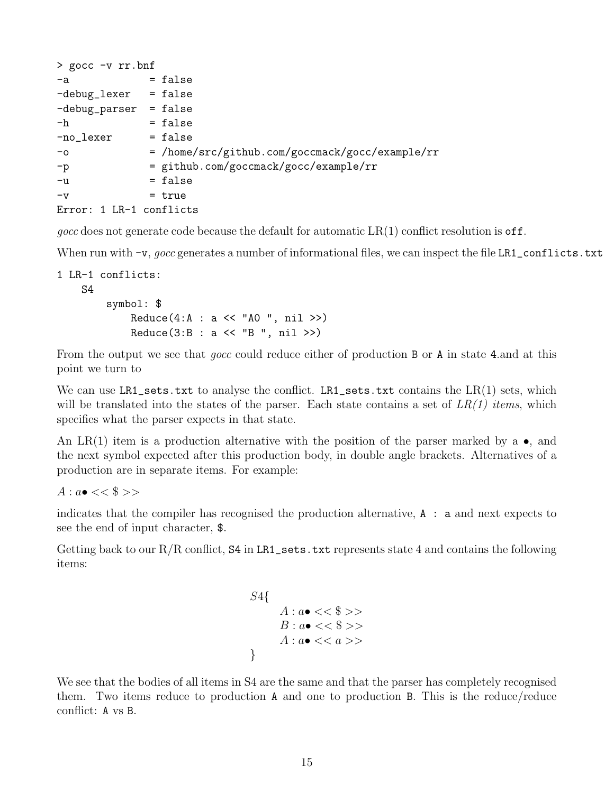| $>$ gocc $-v$ rr.bnf             |                                                 |
|----------------------------------|-------------------------------------------------|
| $-a$                             | $=$ false                                       |
| -debug_lexer                     | = false                                         |
| $-debug_{\text{parser}} = false$ |                                                 |
| $-h$                             | = false                                         |
| -no_lexer                        | $= false$                                       |
| $-\circ$                         | = /home/src/github.com/goccmack/gocc/example/rr |
| $-p$                             | = github.com/goccmack/gocc/example/rr           |
| $-u$                             | = false                                         |
| $-v$                             | $=$ true                                        |
| Error: 1 LR-1 conflicts          |                                                 |

gocc does not generate code because the default for automatic  $LR(1)$  conflict resolution is off.

When run with  $-v$ , gocc generates a number of informational files, we can inspect the file LR1\_conflicts.txt

```
1 LR-1 conflicts:
    S4
         symbol: $
             Reduce(4:A : a \leq \text{``A0''}, nil \geq)Reduce(3:B : a << "B ", nil >>)
```
From the output we see that gocc could reduce either of production B or A in state 4.and at this point we turn to

We can use LR1\_sets.txt to analyse the conflict. LR1\_sets.txt contains the  $LR(1)$  sets, which will be translated into the states of the parser. Each state contains a set of  $LR(1)$  items, which specifies what the parser expects in that state.

An LR(1) item is a production alternative with the position of the parser marked by a  $\bullet$ , and the next symbol expected after this production body, in double angle brackets. Alternatives of a production are in separate items. For example:

 $A: a \bullet \ll \$ \gg$ 

indicates that the compiler has recognised the production alternative, A : a and next expects to see the end of input character, \$.

Getting back to our  $R/R$  conflict,  $S4$  in LR1\_sets.txt represents state 4 and contains the following items:

```
S4{
        A: a \bullet \ll \$ \ggB : a \bullet \ll \$ \>>A : a \bullet \, \lt \, \lt a \gt \gt}
```
We see that the bodies of all items in S4 are the same and that the parser has completely recognised them. Two items reduce to production A and one to production B. This is the reduce/reduce conflict: A vs B.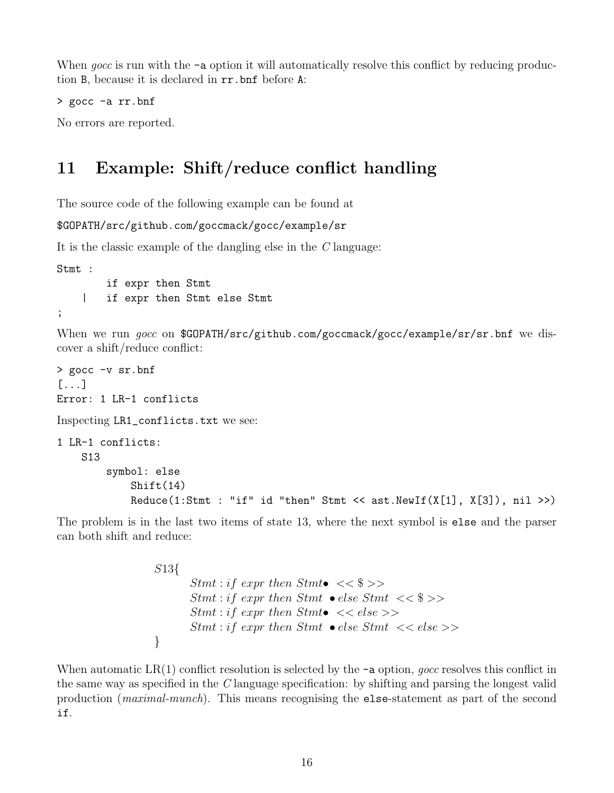When gocc is run with the  $-\mathbf{a}$  option it will automatically resolve this conflict by reducing production B, because it is declared in rr.bnf before A:

```
> gocc -a rr.bnf
```
No errors are reported.

# <span id="page-15-0"></span>11 Example: Shift/reduce conflict handling

The source code of the following example can be found at

```
$GOPATH/src/github.com/goccmack/gocc/example/sr
```
It is the classic example of the dangling else in the C language:

Stmt :

```
if expr then Stmt
    | if expr then Stmt else Stmt
;
```
When we run gocc on \$GOPATH/src/github.com/goccmack/gocc/example/sr/sr.bnf we discover a shift/reduce conflict:

```
> gocc -v sr.bnf
[...]
Error: 1 LR-1 conflicts
Inspecting LR1_conflicts.txt we see:
1 LR-1 conflicts:
    S13
        symbol: else
            Shift(14)
            Reduce(1:Stmt : "if" id "then" Stmt << ast.NewIf(X[1], X[3]), nil >>)
```
The problem is in the last two items of state 13, where the next symbol is else and the parser can both shift and reduce:

```
S13{
         Stmt: if expr then Stmt \leq \Stmt : if expr then Stmt • else Stmt << $ >>
         Stmt : if expr then Stmt\bullet \, \lt \, \lt else \gtStmt: if \text{ expr then } Stmt \text{ } \bullet \text{ } else \text{ } Stmt \text{ } << \text{ } else \text{ } >>}
```
When automatic  $LR(1)$  conflict resolution is selected by the  $-a$  option, gocc resolves this conflict in the same way as specified in the C language specification: by shifting and parsing the longest valid production (maximal-munch). This means recognising the else-statement as part of the second if.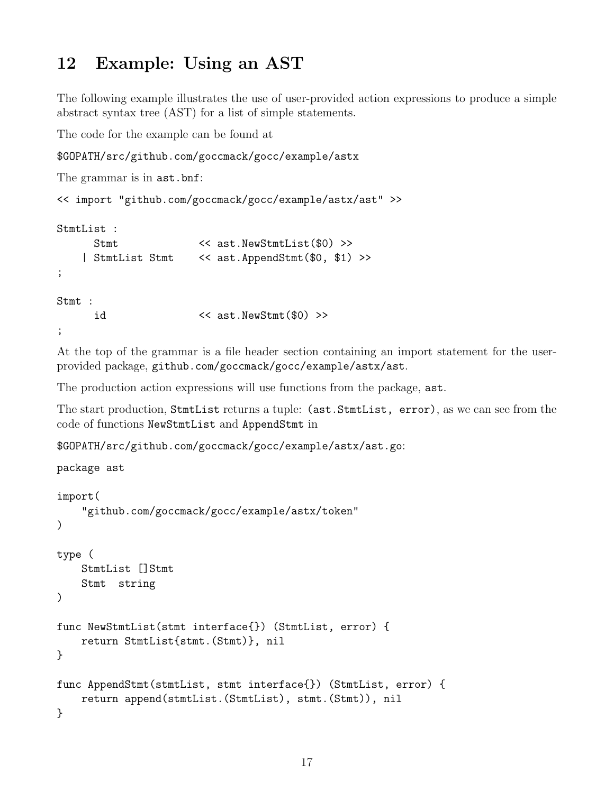# <span id="page-16-0"></span>12 Example: Using an AST

The following example illustrates the use of user-provided action expressions to produce a simple abstract syntax tree (AST) for a list of simple statements.

The code for the example can be found at

```
$GOPATH/src/github.com/goccmack/gocc/example/astx
```

```
The grammar is in ast.bnf:
<< import "github.com/goccmack/gocc/example/astx/ast" >>
StmtList :
     Stmt << ast.NewStmtList($0) >>
   | StmtList Stmt << ast.AppendStmt($0, $1) >>
;
Stmt :
     id << ast.NewStmt($0) >>
;
```
At the top of the grammar is a file header section containing an import statement for the userprovided package, github.com/goccmack/gocc/example/astx/ast.

The production action expressions will use functions from the package, ast.

The start production, StmtList returns a tuple: (ast.StmtList, error), as we can see from the code of functions NewStmtList and AppendStmt in

```
$GOPATH/src/github.com/goccmack/gocc/example/astx/ast.go:
```

```
package ast
import(
    "github.com/goccmack/gocc/example/astx/token"
)
type (
    StmtList []Stmt
    Stmt string
)
func NewStmtList(stmt interface{}) (StmtList, error) {
    return StmtList{stmt.(Stmt)}, nil
}
func AppendStmt(stmtList, stmt interface{}) (StmtList, error) {
    return append(stmtList.(StmtList), stmt.(Stmt)), nil
}
```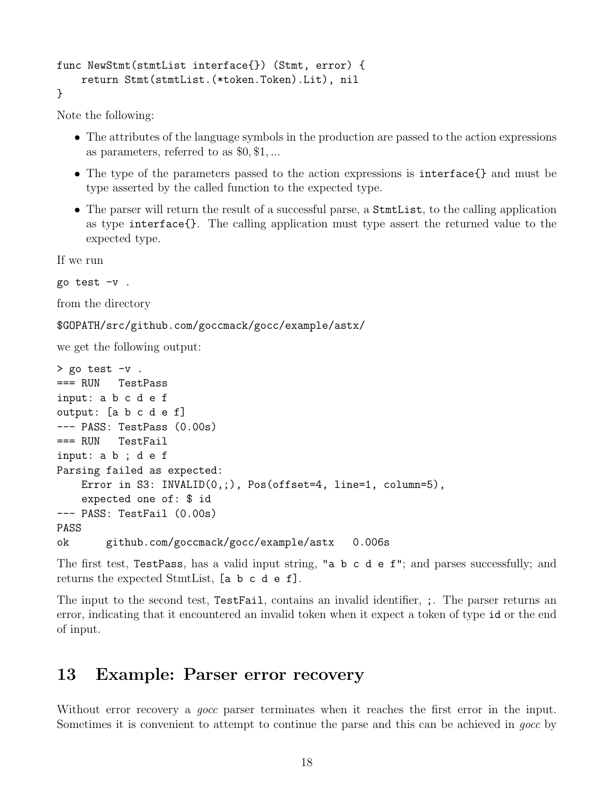```
func NewStmt(stmtList interface{}) (Stmt, error) {
    return Stmt(stmtList.(*token.Token).Lit), nil
}
```
Note the following:

- The attributes of the language symbols in the production are passed to the action expressions as parameters, referred to as \$0, \$1, ...
- The type of the parameters passed to the action expressions is interface{} and must be type asserted by the called function to the expected type.
- The parser will return the result of a successful parse, a StmtList, to the calling application as type interface{}. The calling application must type assert the returned value to the expected type.

If we run

go test -v .

from the directory

```
$GOPATH/src/github.com/goccmack/gocc/example/astx/
```
we get the following output:

```
> go test -v.
=== RUN TestPass
input: a b c d e f
output: [a b c d e f]
--- PASS: TestPass (0.00s)
=== RUN TestFail
input: a b ; d e f
Parsing failed as expected:
    Error in S3: INVALID(0,;), Pos(offset=4, line=1, column=5),
    expected one of: $ id
--- PASS: TestFail (0.00s)
PASS
ok github.com/goccmack/gocc/example/astx 0.006s
```
The first test, TestPass, has a valid input string, "a b c d e f"; and parses successfully; and returns the expected StmtList, [a b c d e f].

The input to the second test, TestFail, contains an invalid identifier, ;. The parser returns an error, indicating that it encountered an invalid token when it expect a token of type id or the end of input.

# <span id="page-17-0"></span>13 Example: Parser error recovery

Without error recovery a *gocc* parser terminates when it reaches the first error in the input. Sometimes it is convenient to attempt to continue the parse and this can be achieved in gocc by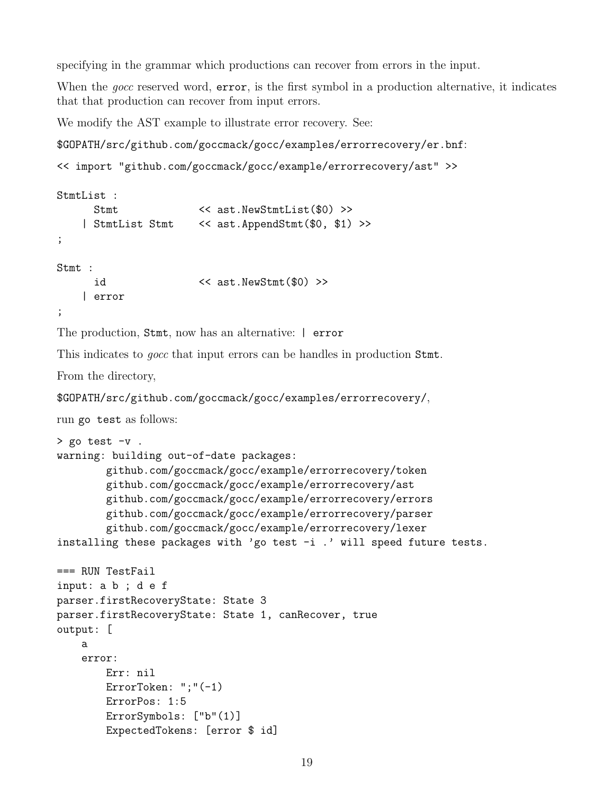specifying in the grammar which productions can recover from errors in the input.

When the *gocc* reserved word, **error**, is the first symbol in a production alternative, it indicates that that production can recover from input errors.

We modify the AST example to illustrate error recovery. See:

```
$GOPATH/src/github.com/goccmack/gocc/examples/errorrecovery/er.bnf:
```

```
<< import "github.com/goccmack/gocc/example/errorrecovery/ast" >>
```

```
StmtList :
    Stmt << ast.NewStmtList($0) >>
   | StmtList Stmt << ast.AppendStmt($0, $1) >>
;
Stmt :
     id << ast.NewStmt($0) >>
   | error
;
```
The production, Stmt, now has an alternative: | error

This indicates to gocc that input errors can be handles in production Stmt.

From the directory,

```
$GOPATH/src/github.com/goccmack/gocc/examples/errorrecovery/,
```
run go test as follows:

```
> go test -v .
warning: building out-of-date packages:
        github.com/goccmack/gocc/example/errorrecovery/token
        github.com/goccmack/gocc/example/errorrecovery/ast
        github.com/goccmack/gocc/example/errorrecovery/errors
        github.com/goccmack/gocc/example/errorrecovery/parser
        github.com/goccmack/gocc/example/errorrecovery/lexer
installing these packages with 'go test -i.' will speed future tests.
=== RUN TestFail
input: a b ; d e f
parser.firstRecoveryState: State 3
parser.firstRecoveryState: State 1, canRecover, true
output: [
    a
    error:
        Err: nil
        ErrorToken: ";"(-1)
        ErrorPos: 1:5
        ErrorSymbols: ["b"(1)]
        ExpectedTokens: [error $ id]
```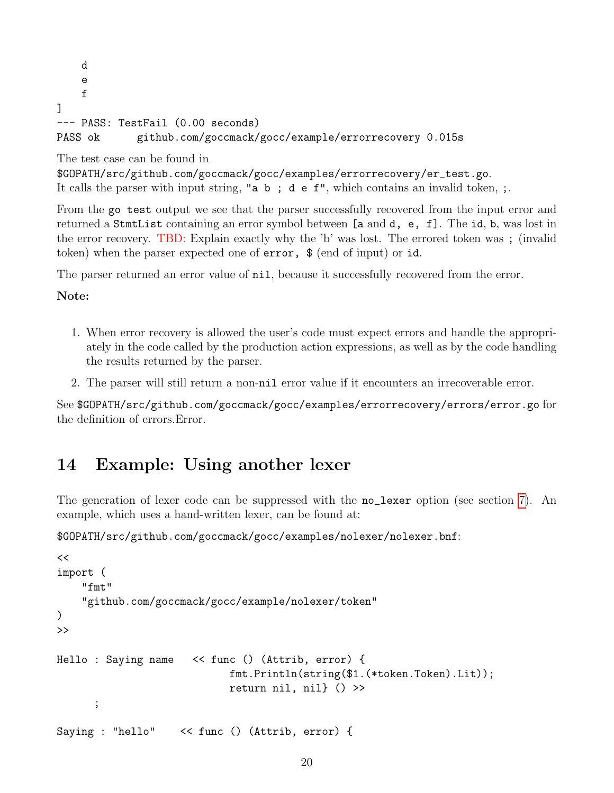```
d
    e
    f
]
--- PASS: TestFail (0.00 seconds)
PASS ok github.com/goccmack/gocc/example/errorrecovery 0.015s
```
#### The test case can be found in

```
$GOPATH/src/github.com/goccmack/gocc/examples/errorrecovery/er_test.go.
It calls the parser with input string, "a b; d e f", which contains an invalid token, ;.
```
From the go test output we see that the parser successfully recovered from the input error and returned a StmtList containing an error symbol between [a and d, e, f]. The id, b, was lost in the error recovery. TBD: Explain exactly why the 'b' was lost. The errored token was ; (invalid token) when the parser expected one of error, \$ (end of input) or id.

The parser returned an error value of nil, because it successfully recovered from the error.

#### Note:

- 1. When error recovery is allowed the user's code must expect errors and handle the appropriately in the code called by the production action expressions, as well as by the code handling the results returned by the parser.
- 2. The parser will still return a non-nil error value if it encounters an irrecoverable error.

See \$GOPATH/src/github.com/goccmack/gocc/examples/errorrecovery/errors/error.go for the definition of errors.Error.

## <span id="page-19-0"></span>14 Example: Using another lexer

The generation of lexer code can be suppressed with the **no**\_lexer option (see section [7\)](#page-10-0). An example, which uses a hand-written lexer, can be found at:

```
$GOPATH/src/github.com/goccmack/gocc/examples/nolexer/nolexer.bnf:
```

```
<<import (
    "fmt"
    "github.com/goccmack/gocc/example/nolexer/token"
)
>>
Hello : Saying name << func () (Attrib, error) {
                            fmt.Println(string($1.(*token.Token).Lit));
                            return nil, nil} () >>
      ;
Saying : "hello" << func () (Attrib, error) {
```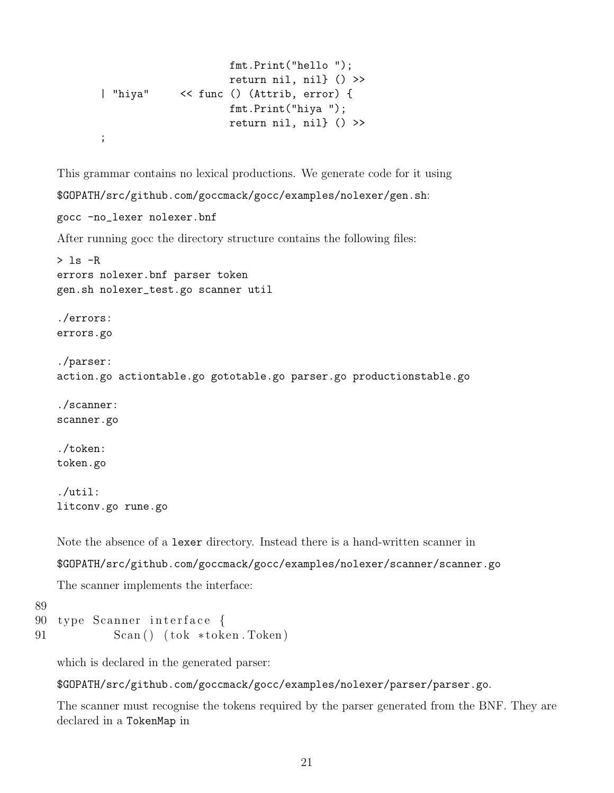```
fmt.Print("hello ");
                    return nil, nil} () >>
| "hiya" << func () (Attrib, error) {
                    fmt.Print("hiya ");
                    return nil, nil} () >>
;
```
This grammar contains no lexical productions. We generate code for it using \$GOPATH/src/github.com/goccmack/gocc/examples/nolexer/gen.sh: gocc -no\_lexer nolexer.bnf After running gocc the directory structure contains the following files:  $> 1s$  -R errors nolexer.bnf parser token gen.sh nolexer\_test.go scanner util ./errors: errors.go ./parser: action.go actiontable.go gototable.go parser.go productionstable.go ./scanner: scanner.go ./token: token.go ./util: litconv.go rune.go

```
Note the absence of a lexer directory. Instead there is a hand-written scanner in
```
\$GOPATH/src/github.com/goccmack/gocc/examples/nolexer/scanner/scanner.go

The scanner implements the interface:

```
89
90 type Scanner interface {
91 Scan() (tok ∗token. Token)
```
which is declared in the generated parser:

\$GOPATH/src/github.com/goccmack/gocc/examples/nolexer/parser/parser.go.

The scanner must recognise the tokens required by the parser generated from the BNF. They are declared in a TokenMap in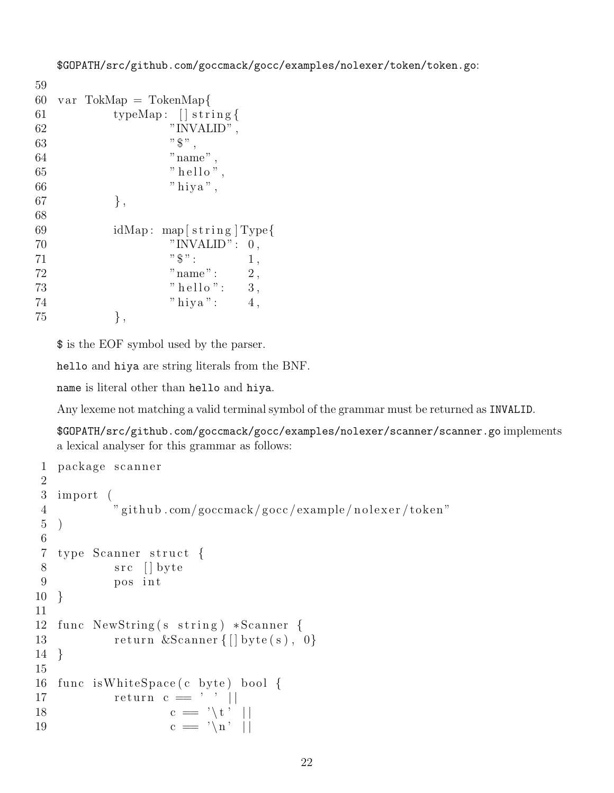```
59
60 var TokMap = TokenMap{
61 typeMap: [ ] string {
62 "INVALID" ,
63 ", ", ", "64 "name",
65 " hello",
66 " hiya",
67 },
68
69 idMap: map [string] Type {
70 "INVALID": 0,
71 " \" : 1,
72 "name": 2,
73 " hello ": 3,
74 " hiya": 4,75 },
```
\$ is the EOF symbol used by the parser.

hello and hiya are string literals from the BNF.

name is literal other than hello and hiya.

Any lexeme not matching a valid terminal symbol of the grammar must be returned as INVALID.

\$GOPATH/src/github.com/goccmack/gocc/examples/nolexer/scanner/scanner.go implements a lexical analyser for this grammar as follows:

```
1 package scanner
2
3 import (
4 " github .com/goccmack/gocc/example/nolexer/token"
5 )
6
7 type Scanner struct {
8 src [] byte
9 pos int
10 }
11
12 func NewString (s string) *Scanner {
13 return &Scanner {\vert byte(s), 0}
14 }
15
16 func is White Space (c byte) bool {
17 return c = ' ' | |18 c = \sqrt{t'} ||
19 c = \langle n' \rangle ||
```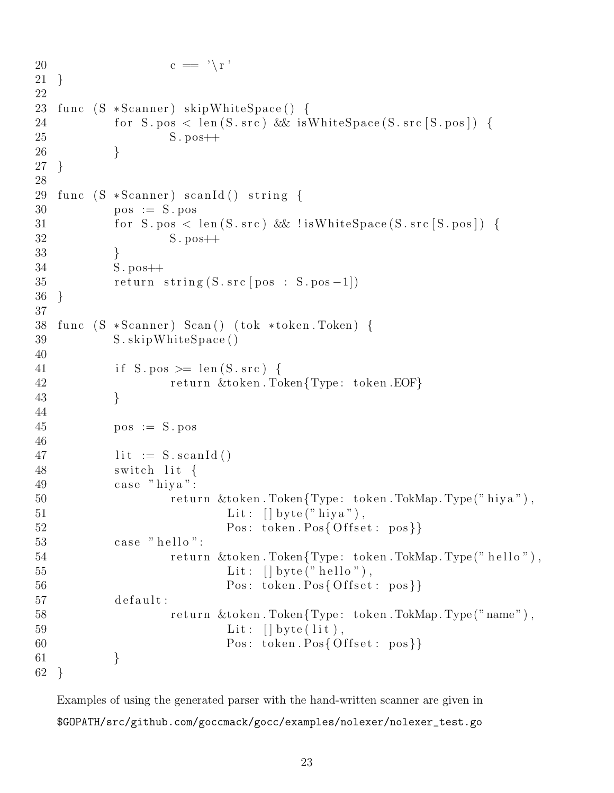```
20 c = \sqrt{r}21 }
22
23 func (S *Scanner) skipWhiteSpace() {
24 for S. pos < len (S. src) & & is White Space (S. src [S. pos]) {
25 S. pos \leftarrow26 }
27 }
28
29 func (S *Scanner) scanId() string \{30 pos := S . pos
31 for S. pos < len (S.\,src) & lis WhiteSpace (S.\,src\,S.\,pos) {
32 S . pos++
33 }
34 S. pos \rightarrow35 return string (S.\text{src} \mid pos : S.\text{pos} - 1])36 }
37
38 func (S *Scanner) Scan() (tok *token. Token) {
39 S. skipWhiteSpace ()
40
41 if S. pos > = \text{len}(S \cdot \text{src}) {
42 return &token.Token{Type: token.EOF}
43 }
44
45 \qquad \qquad pos := S. pos
46
47 lit := S. scanId ()
48 switch lit {
49 case "hiya":
50 return &token.Token{Type: token.TokMap.Type("hiya"),
51 Lit: [\] byte ("hiya"),
52 Pos: token. Pos{ Offset : pos}}
53 \qquad \qquad \text{case} \quad \text{"hello"}:54 return &token.Token{Type: token.TokMap.Type("hello"),
55 Lit: [] byte ("hello"),
56 Pos: token. Pos{Offset: pos}}
57 default:
58 return \&token . Token{Type: token . TokMap . Type ("name"),
59 Lit: [ byte ( lit),
60 Pos: token. Pos{Offset: pos}}
61 }
62 }
```
Examples of using the generated parser with the hand-written scanner are given in \$GOPATH/src/github.com/goccmack/gocc/examples/nolexer/nolexer\_test.go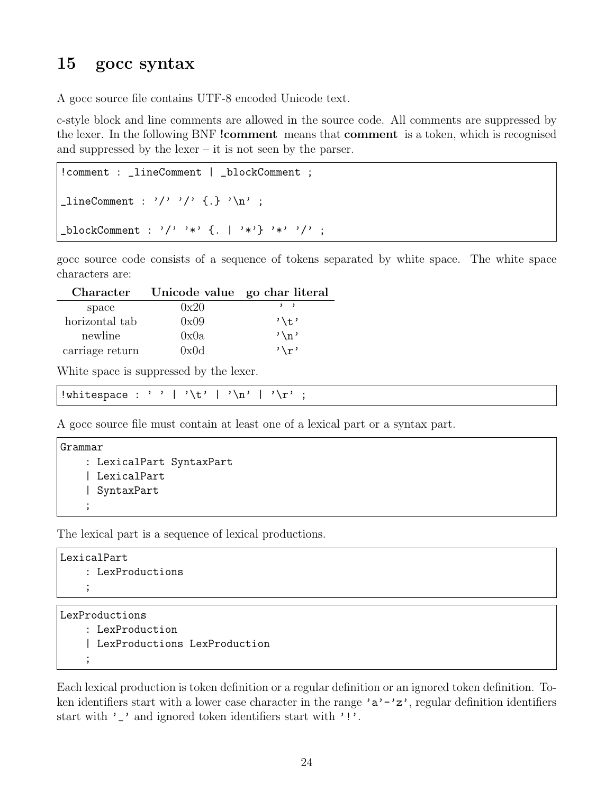### <span id="page-23-0"></span>15 gocc syntax

A gocc source file contains UTF-8 encoded Unicode text.

c-style block and line comments are allowed in the source code. All comments are suppressed by the lexer. In the following BNF !comment means that comment is a token, which is recognised and suppressed by the lexer – it is not seen by the parser.

```
! comment : _lineComment | _blockComment ;
\text{lineComment} : \frac{1}{2} \rightarrow \frac{1}{2} \rightarrow \frac{1}{2} \rightarrow \frac{1}{2} \rightarrow \frac{1}{2} \rightarrow \frac{1}{2} \rightarrow \frac{1}{2} \rightarrow \frac{1}{2} \rightarrow \frac{1}{2} \rightarrow \frac{1}{2} \rightarrow \frac{1}{2} \rightarrow \frac{1}{2} \rightarrow \frac{1}{2} \rightarrow \frac{1}{2} \rightarrow \frac{1}{2} \rightarrow \frac{1}{2} \rightarrow \frac{1}{2} \rightarrow \frac{1}{2} \rightarrow \frac{1}{2} \rightarrow \frac{1}{2} \rightarrow \frac{1}{2} \rightarrow \frac{1}{2} \rightarrow \frac{1}{2} \rightarrow \frac{1}{2blockComment : '/' '*' \{ . \mid ' *' \} '*' '/' ;
```
gocc source code consists of a sequence of tokens separated by white space. The white space characters are:

| Character       | Unicode value go char literal |                 |
|-----------------|-------------------------------|-----------------|
| space           | 0x20                          | $, \, \, \,$    |
| horizontal tab  | 0x09                          | '\t'            |
| newline         | 0x0a                          | $' \n\wedge n'$ |
| carriage return | 0x0d                          | $\sqrt{r}$      |

White space is suppressed by the lexer.

| !whitespace : ''   '\t'   '\n'   '\r' |  |  |  |  |  |  |  |  |  |  |  |  |
|---------------------------------------|--|--|--|--|--|--|--|--|--|--|--|--|
|                                       |  |  |  |  |  |  |  |  |  |  |  |  |

A gocc source file must contain at least one of a lexical part or a syntax part.

```
Grammar
    : LexicalPart SyntaxPart
    | LexicalPart
    | SyntaxPart
    ;
```
The lexical part is a sequence of lexical productions.

```
LexicalPart
    : LexProductions
    ;
```
LexProductions : LexProduction | LexProductions LexProduction ;

Each lexical production is token definition or a regular definition or an ignored token definition. Token identifiers start with a lower case character in the range ' $a'$ -'z', regular definition identifiers start with '\_' and ignored token identifiers start with '!'.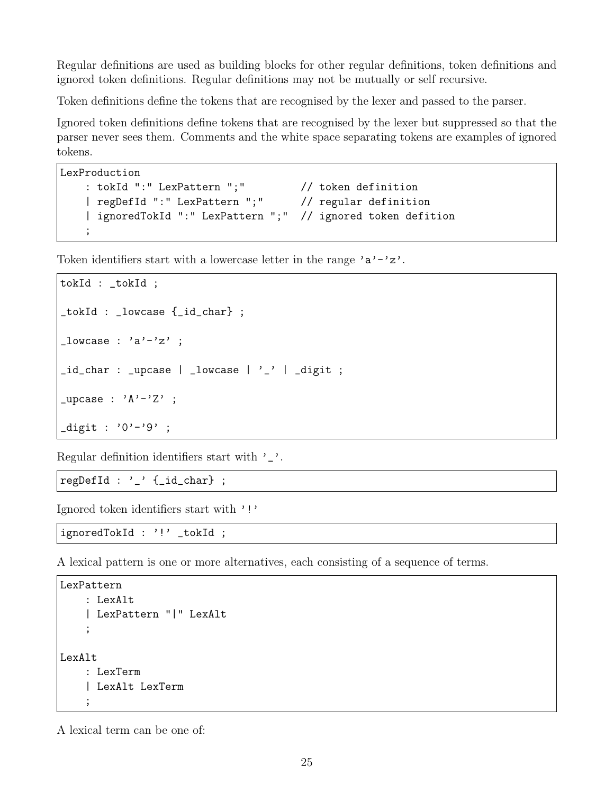Regular definitions are used as building blocks for other regular definitions, token definitions and ignored token definitions. Regular definitions may not be mutually or self recursive.

Token definitions define the tokens that are recognised by the lexer and passed to the parser.

Ignored token definitions define tokens that are recognised by the lexer but suppressed so that the parser never sees them. Comments and the white space separating tokens are examples of ignored tokens.

```
LexProduction
   : tokId ":" LexPattern ";" // token definition
    | regDefId ":" LexPattern ";" // regular definition
    | ignoredTokId ":" LexPattern ";" // ignored token defition
    ;
```
Token identifiers start with a lowercase letter in the range  $a^2 - a^2$ .

```
tokId : _tokId ;
_tokId : _lowcase {_id_char} ;
\lnot lowcase : 'a'-'z' ;
_id_{char} : _{upcase} | _{lowcase} | '_{2}' | _{digit} ;
_upcase : 'A'-'Z' ;
diagit : '0'-'9' ;
```
Regular definition identifiers start with '\_'.

regDefId : '\_' {\_id\_char} ;

Ignored token identifiers start with '!'

ignoredTokId : '!' \_tokId ;

A lexical pattern is one or more alternatives, each consisting of a sequence of terms.

```
LexPattern
    : LexAlt
    | LexPattern "|" LexAlt
    ;
LexAlt
    : LexTerm
    | LexAlt LexTerm
    ;
```
A lexical term can be one of: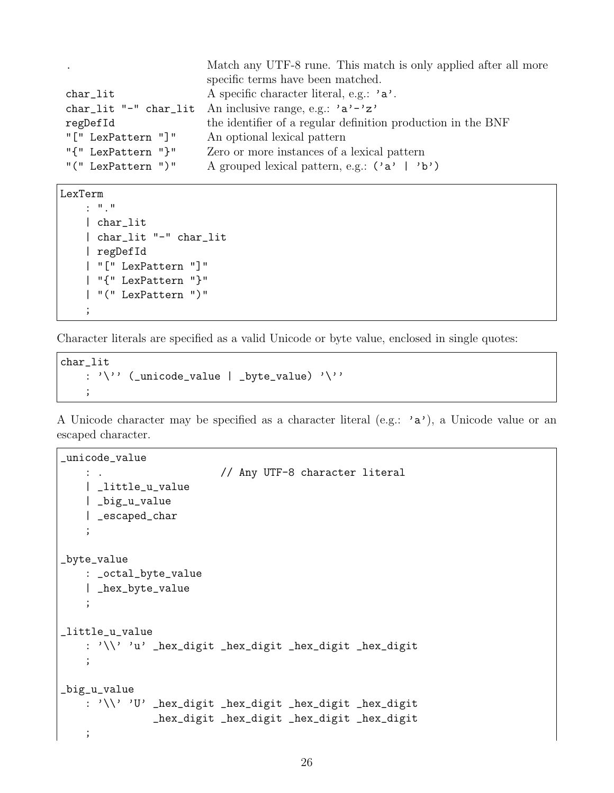| $\bullet$          | Match any UTF-8 rune. This match is only applied after all more             |
|--------------------|-----------------------------------------------------------------------------|
|                    | specific terms have been matched.                                           |
| char_lit           | A specific character literal, e.g.: $a$ .                                   |
|                    | char_lit "-" char_lit An inclusive range, e.g.: 'a'-'z'                     |
| regDefId           | the identifier of a regular definition production in the BNF                |
| "[" LexPattern "]" | An optional lexical pattern                                                 |
| "{" LexPattern "}" | Zero or more instances of a lexical pattern                                 |
| "("LexPattern")"   | A grouped lexical pattern, e.g.: $(\overrightarrow{a}, \overrightarrow{b})$ |

LexTerm

```
: "."
| char_lit
| char_lit "-" char_lit
| regDefId
| "[" LexPattern "]"
| "{" LexPattern "}"
| "(" LexPattern ")"
;
```
Character literals are specified as a valid Unicode or byte value, enclosed in single quotes:

```
char_lit
    : '\'' (_unicode_value | _byte_value) '\''
    ;
```
A Unicode character may be specified as a character literal (e.g.: 'a'), a Unicode value or an escaped character.

```
_unicode_value
   : . // Any UTF-8 character literal
   | _little_u_value
   | _big_u_value
   | _escaped_char
    ;
_byte_value
   : _octal_byte_value
   | _hex_byte_value
    ;
_little_u_value
   : '\\' 'u' _hex_digit _hex_digit _hex_digit _hex_digit
   ;
_big_u_value
   : '\\' 'U' _hex_digit _hex_digit _hex_digit _hex_digit
              _hex_digit _hex_digit _hex_digit _hex_digit
   ;
```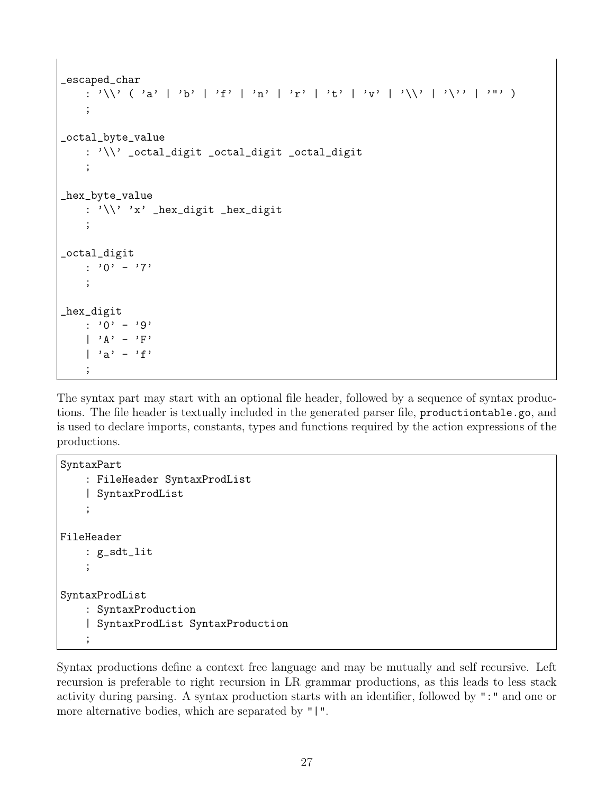```
_escaped_char
    : '\\' ( 'a' | 'b' | 'f' | 'n' | 'r' | 't' | 'y' | '\\' | '\' | '' | '
    ;
_octal_byte_value
    : '\\' _octal_digit _octal_digit _octal_digit
    ;
_hex_byte_value
    : '\\' 'x' _hex_digit _hex_digit
    ;
_octal_digit
    : '0' - '7';
_hex_digit
   : '0' - '9'
    | 'A' - 'F'
    | 'a' - 'f'
    ;
```
The syntax part may start with an optional file header, followed by a sequence of syntax productions. The file header is textually included in the generated parser file, productiontable.go, and is used to declare imports, constants, types and functions required by the action expressions of the productions.

```
SyntaxPart
    : FileHeader SyntaxProdList
    | SyntaxProdList
    ;
FileHeader
    : g_sdt_lit
    ;
SyntaxProdList
    : SyntaxProduction
    | SyntaxProdList SyntaxProduction
    ;
```
Syntax productions define a context free language and may be mutually and self recursive. Left recursion is preferable to right recursion in LR grammar productions, as this leads to less stack activity during parsing. A syntax production starts with an identifier, followed by ":" and one or more alternative bodies, which are separated by "|".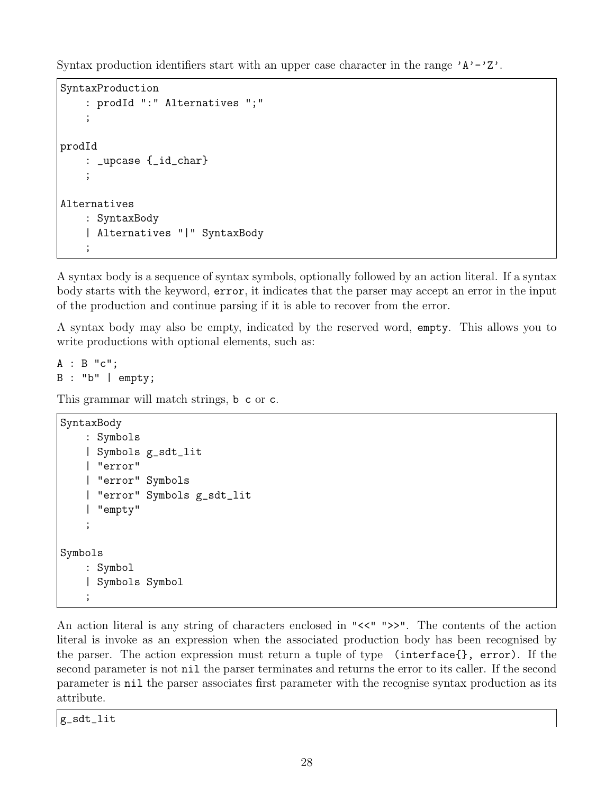Syntax production identifiers start with an upper case character in the range  $'A' - 'Z'$ .

```
SyntaxProduction
    : prodId ":" Alternatives ";"
    ;
prodId
    : _upcase {_id_char}
    ;
Alternatives
    : SyntaxBody
    | Alternatives "|" SyntaxBody
    ;
```
A syntax body is a sequence of syntax symbols, optionally followed by an action literal. If a syntax body starts with the keyword, error, it indicates that the parser may accept an error in the input of the production and continue parsing if it is able to recover from the error.

A syntax body may also be empty, indicated by the reserved word, empty. This allows you to write productions with optional elements, such as:

A : B "c"; B : "b" | empty;

This grammar will match strings, b c or c.

```
SyntaxBody
    : Symbols
    | Symbols g_sdt_lit
    | "error"
    | "error" Symbols
    | "error" Symbols g_sdt_lit
    | "empty"
    ;
Symbols
    : Symbol
    | Symbols Symbol
    ;
```
An action literal is any string of characters enclosed in " $\lt\lt'$ ">>". The contents of the action literal is invoke as an expression when the associated production body has been recognised by the parser. The action expression must return a tuple of type (interface{}, error). If the second parameter is not nil the parser terminates and returns the error to its caller. If the second parameter is nil the parser associates first parameter with the recognise syntax production as its attribute.

g\_sdt\_lit